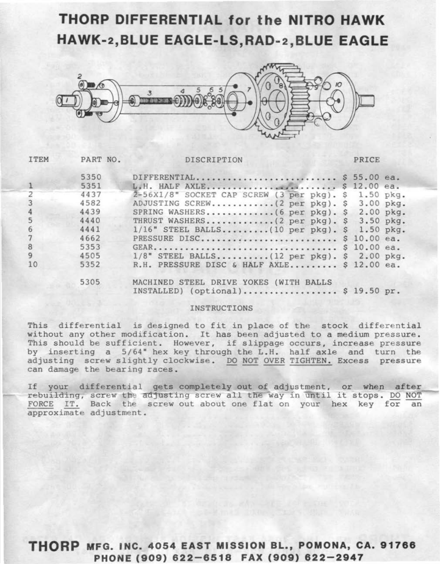### **THORP DIFFERENTIAL for the NITRO HAWK HAWK-2,BLUE EAGLE-LS,RAD-2,BLUE EAGLE**



| <b>ITEM</b>    | PART NO. | DISCRIPTION                                                                  | PRICE |  |
|----------------|----------|------------------------------------------------------------------------------|-------|--|
|                | 5350     | DIFFERENTIAL \$ 55.00 ea.                                                    |       |  |
|                | 5351     | L.H. HALF AXLE \$ 12.00 ea.                                                  |       |  |
| $\overline{2}$ | 4437     | 2-56X1/8" SOCKET CAP SCREW (3 per pkg). \$ 1.50 pkg.                         |       |  |
| $\overline{3}$ | 4582     | ADJUSTING SCREW(2 per pkg). \$ 3.00 pkg.                                     |       |  |
| $\overline{4}$ | 4439     | SPRING WASHERS $(6 \text{ per } pkg)$ . \$ 2.00 pkg.                         |       |  |
| 5              | 4440     |                                                                              |       |  |
| 6              | 4441     | $1/16$ " STEEL BALLS (10 per pkg). \$ 1.50 pkg.                              |       |  |
| $\overline{7}$ | 4662     | PRESSURE DISC \$ 10.00 ea.                                                   |       |  |
| 8              | 5353     | GEAR \$ 10.00 ea.                                                            |       |  |
| $\overline{9}$ | 4505     | $1/8$ " STEEL BALLS(12 per pkg). \$ 2.00 pkg.                                |       |  |
| 10             | 5352     | R.H. PRESSURE DISC & HALF AXLE \$ 12.00 ea.                                  |       |  |
|                | 5305     | MACHINED STEEL DRIVE YOKES (WITH BALLS<br>INSTALLED) (optional) \$ 19.50 pr. |       |  |
|                |          |                                                                              |       |  |

rebuilding, screw the adjusting screw all the way in until it stops. DO NOT FORCE IT. Back the screw out about one flat on your hex key for an approximate adjustment.

#### INSTRUCTIONS

This differential is designed to fit in place of the stock differential without any other modification. It has been adjusted to a medium pressure. This should be sufficient. However, if slippage occurs, increase pressure by inserting a 5/64" hex key through the L.H. half axle and turn the adjusting screw slightly clockwise. DO NOT OVER TIGHTEN. Excess pressure can damage the bearing races .

If your differential gets completely out of adjustment, or when after

**THORP MFG. INC. 4054 EAST MISSION BL., POMONA, CA. 91766 PHONE (909) 622-6518 FAX (909) 622-2947**